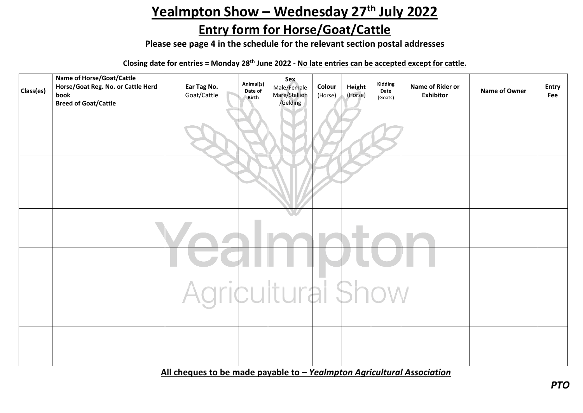## Yealmpton Show - Wednesday 27<sup>th</sup> July 2022

## **Entry form for Horse/Goat/Cattle**

**Please see page 4 in the schedule for the relevant section postal addresses**

**Closing date for entries = Monday 28th June 2022 - No late entries can be accepted except for cattle.**

| Class(es) | Name of Horse/Goat/Cattle<br>Horse/Goat Reg. No. or Cattle Herd<br>book<br><b>Breed of Goat/Cattle</b> | Ear Tag No.<br>Goat/Cattle | Animal(s)<br>Date of<br>Birth | Sex<br>Male/Female<br>Mare/Stallion<br>/Gelding | Colour<br>(Horse) | Height<br>(Horse) | Kidding<br>Date<br>(Goats) | Name of Rider or<br><b>Exhibitor</b> | Name of Owner | Entry<br>Fee |
|-----------|--------------------------------------------------------------------------------------------------------|----------------------------|-------------------------------|-------------------------------------------------|-------------------|-------------------|----------------------------|--------------------------------------|---------------|--------------|
|           |                                                                                                        |                            |                               |                                                 |                   |                   |                            |                                      |               |              |
|           |                                                                                                        |                            |                               |                                                 |                   |                   |                            |                                      |               |              |
|           |                                                                                                        |                            |                               | VI.                                             |                   |                   |                            |                                      |               |              |
|           |                                                                                                        | $\hfill$                   |                               |                                                 |                   |                   |                            |                                      |               |              |
|           |                                                                                                        |                            |                               |                                                 |                   |                   |                            |                                      |               |              |
|           |                                                                                                        |                            |                               |                                                 |                   |                   |                            |                                      |               |              |

**All cheques to be made payable to –** *Yealmpton Agricultural Association*